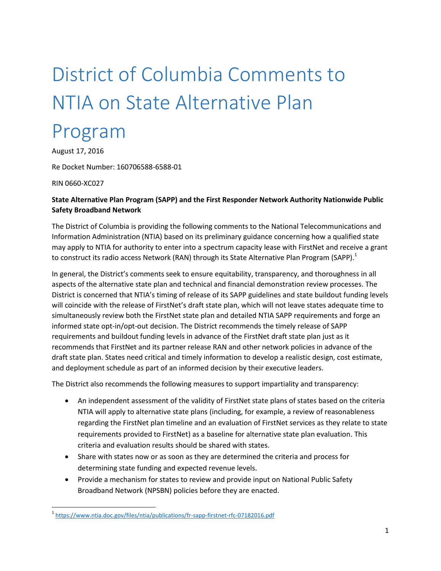## District of Columbia Comments to NTIA on State Alternative Plan

## Program

August 17, 2016

Re Docket Number: 160706588-6588-01

RIN 0660-XC027

 $\overline{a}$ 

## **State Alternative Plan Program (SAPP) and the First Responder Network Authority Nationwide Public Safety Broadband Network**

The District of Columbia is providing the following comments to the National Telecommunications and Information Administration (NTIA) based on its preliminary guidance concerning how a qualified state may apply to NTIA for authority to enter into a spectrum capacity lease with FirstNet and receive a grant to construct its radio access Network (RAN) through its State Alternative Plan Program (SAPP).<sup>1</sup>

In general, the District's comments seek to ensure equitability, transparency, and thoroughness in all aspects of the alternative state plan and technical and financial demonstration review processes. The District is concerned that NTIA's timing of release of its SAPP guidelines and state buildout funding levels will coincide with the release of FirstNet's draft state plan, which will not leave states adequate time to simultaneously review both the FirstNet state plan and detailed NTIA SAPP requirements and forge an informed state opt-in/opt-out decision. The District recommends the timely release of SAPP requirements and buildout funding levels in advance of the FirstNet draft state plan just as it recommends that FirstNet and its partner release RAN and other network policies in advance of the draft state plan. States need critical and timely information to develop a realistic design, cost estimate, and deployment schedule as part of an informed decision by their executive leaders.

The District also recommends the following measures to support impartiality and transparency:

- An independent assessment of the validity of FirstNet state plans of states based on the criteria NTIA will apply to alternative state plans (including, for example, a review of reasonableness regarding the FirstNet plan timeline and an evaluation of FirstNet services as they relate to state requirements provided to FirstNet) as a baseline for alternative state plan evaluation. This criteria and evaluation results should be shared with states.
- Share with states now or as soon as they are determined the criteria and process for determining state funding and expected revenue levels.
- Provide a mechanism for states to review and provide input on National Public Safety Broadband Network (NPSBN) policies before they are enacted.

<sup>&</sup>lt;sup>1</sup> <https://www.ntia.doc.gov/files/ntia/publications/fr-sapp-firstnet-rfc-07182016.pdf>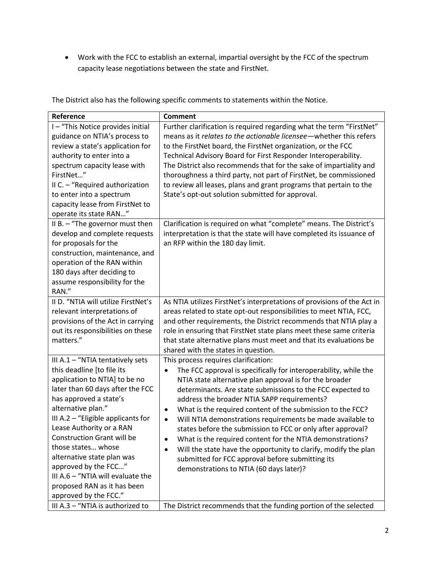Work with the FCC to establish an external, impartial oversight by the FCC of the spectrum capacity lease negotiations between the state and FirstNet.

| Reference                            | <b>Comment</b>                                                                |
|--------------------------------------|-------------------------------------------------------------------------------|
| I-"This Notice provides initial      | Further clarification is required regarding what the term "FirstNet"          |
| guidance on NTIA's process to        | means as it relates to the actionable licensee - whether this refers          |
| review a state's application for     | to the FirstNet board, the FirstNet organization, or the FCC                  |
| authority to enter into a            | Technical Advisory Board for First Responder Interoperability.                |
| spectrum capacity lease with         | The District also recommends that for the sake of impartiality and            |
| FirstNet"                            | thoroughness a third party, not part of FirstNet, be commissioned             |
| II C. - "Required authorization      | to review all leases, plans and grant programs that pertain to the            |
| to enter into a spectrum             | State's opt-out solution submitted for approval.                              |
| capacity lease from FirstNet to      |                                                                               |
| operate its state RAN"               |                                                                               |
| II B. - "The governor must then      | Clarification is required on what "complete" means. The District's            |
| develop and complete requests        | interpretation is that the state will have completed its issuance of          |
| for proposals for the                | an RFP within the 180 day limit.                                              |
| construction, maintenance, and       |                                                                               |
| operation of the RAN within          |                                                                               |
| 180 days after deciding to           |                                                                               |
| assume responsibility for the        |                                                                               |
| RAN."                                |                                                                               |
| II D. "NTIA will utilize FirstNet's  | As NTIA utilizes FirstNet's interpretations of provisions of the Act in       |
| relevant interpretations of          | areas related to state opt-out responsibilities to meet NTIA, FCC,            |
| provisions of the Act in carrying    | and other requirements, the District recommends that NTIA play a              |
| out its responsibilities on these    | role in ensuring that FirstNet state plans meet these same criteria           |
| matters."                            | that state alternative plans must meet and that its evaluations be            |
|                                      | shared with the states in question.                                           |
| III A.1 - "NTIA tentatively sets     | This process requires clarification:                                          |
| this deadline [to file its           | The FCC approval is specifically for interoperability, while the<br>$\bullet$ |
| application to NTIA] to be no        | NTIA state alternative plan approval is for the broader                       |
| later than 60 days after the FCC     | determinants. Are state submissions to the FCC expected to                    |
| has approved a state's               | address the broader NTIA SAPP requirements?                                   |
| alternative plan."                   | What is the required content of the submission to the FCC?<br>$\bullet$       |
| III A.2 $-$ "Eligible applicants for | Will NTIA demonstrations requirements be made available to<br>$\bullet$       |
| Lease Authority or a RAN             | states before the submission to FCC or only after approval?                   |
| <b>Construction Grant will be</b>    | What is the required content for the NTIA demonstrations?                     |
| those states whose                   | Will the state have the opportunity to clarify, modify the plan<br>$\bullet$  |
| alternative state plan was           | submitted for FCC approval before submitting its                              |
| approved by the FCC"                 | demonstrations to NTIA (60 days later)?                                       |
| III A.6 - "NTIA will evaluate the    |                                                                               |
| proposed RAN as it has been          |                                                                               |
| approved by the FCC."                |                                                                               |
| III A.3 - "NTIA is authorized to     | The District recommends that the funding portion of the selected              |

The District also has the following specific comments to statements within the Notice.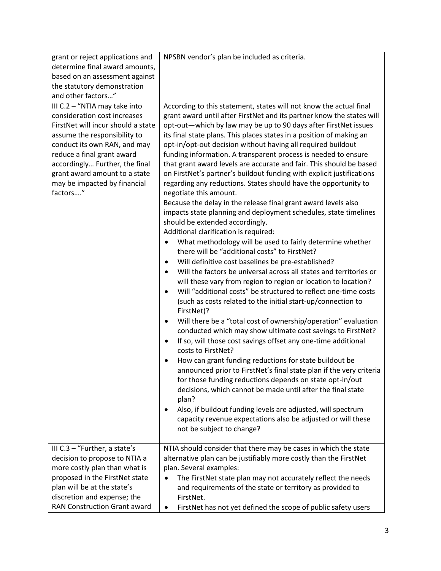| grant or reject applications and<br>determine final award amounts,<br>based on an assessment against                                                                                                                                                                                                             | NPSBN vendor's plan be included as criteria.                                                                                                                                                                                                                                                                                                                                                                                                                                                                                                                                                                                                                                                                                                                                                                                                                                                                                                                                                                                                                                                                                                                                                                                                                                                                                                                                                                                                                                                                                                                                                                                                                                                                                                                                                                                                                                                                                                                                                                                                                         |
|------------------------------------------------------------------------------------------------------------------------------------------------------------------------------------------------------------------------------------------------------------------------------------------------------------------|----------------------------------------------------------------------------------------------------------------------------------------------------------------------------------------------------------------------------------------------------------------------------------------------------------------------------------------------------------------------------------------------------------------------------------------------------------------------------------------------------------------------------------------------------------------------------------------------------------------------------------------------------------------------------------------------------------------------------------------------------------------------------------------------------------------------------------------------------------------------------------------------------------------------------------------------------------------------------------------------------------------------------------------------------------------------------------------------------------------------------------------------------------------------------------------------------------------------------------------------------------------------------------------------------------------------------------------------------------------------------------------------------------------------------------------------------------------------------------------------------------------------------------------------------------------------------------------------------------------------------------------------------------------------------------------------------------------------------------------------------------------------------------------------------------------------------------------------------------------------------------------------------------------------------------------------------------------------------------------------------------------------------------------------------------------------|
| the statutory demonstration<br>and other factors"                                                                                                                                                                                                                                                                |                                                                                                                                                                                                                                                                                                                                                                                                                                                                                                                                                                                                                                                                                                                                                                                                                                                                                                                                                                                                                                                                                                                                                                                                                                                                                                                                                                                                                                                                                                                                                                                                                                                                                                                                                                                                                                                                                                                                                                                                                                                                      |
| III C.2 - "NTIA may take into<br>consideration cost increases<br>FirstNet will incur should a state<br>assume the responsibility to<br>conduct its own RAN, and may<br>reduce a final grant award<br>accordingly Further, the final<br>grant award amount to a state<br>may be impacted by financial<br>factors" | According to this statement, states will not know the actual final<br>grant award until after FirstNet and its partner know the states will<br>opt-out-which by law may be up to 90 days after FirstNet issues<br>its final state plans. This places states in a position of making an<br>opt-in/opt-out decision without having all required buildout<br>funding information. A transparent process is needed to ensure<br>that grant award levels are accurate and fair. This should be based<br>on FirstNet's partner's buildout funding with explicit justifications<br>regarding any reductions. States should have the opportunity to<br>negotiate this amount.<br>Because the delay in the release final grant award levels also<br>impacts state planning and deployment schedules, state timelines<br>should be extended accordingly.<br>Additional clarification is required:<br>What methodology will be used to fairly determine whether<br>٠<br>there will be "additional costs" to FirstNet?<br>Will definitive cost baselines be pre-established?<br>٠<br>Will the factors be universal across all states and territories or<br>$\bullet$<br>will these vary from region to region or location to location?<br>Will "additional costs" be structured to reflect one-time costs<br>$\bullet$<br>(such as costs related to the initial start-up/connection to<br>FirstNet)?<br>Will there be a "total cost of ownership/operation" evaluation<br>$\bullet$<br>conducted which may show ultimate cost savings to FirstNet?<br>If so, will those cost savings offset any one-time additional<br>costs to FirstNet?<br>How can grant funding reductions for state buildout be<br>٠<br>announced prior to FirstNet's final state plan if the very criteria<br>for those funding reductions depends on state opt-in/out<br>decisions, which cannot be made until after the final state<br>plan?<br>Also, if buildout funding levels are adjusted, will spectrum<br>capacity revenue expectations also be adjusted or will these<br>not be subject to change? |
| III C.3 - "Further, a state's<br>decision to propose to NTIA a<br>more costly plan than what is<br>proposed in the FirstNet state<br>plan will be at the state's<br>discretion and expense; the<br>RAN Construction Grant award                                                                                  | NTIA should consider that there may be cases in which the state<br>alternative plan can be justifiably more costly than the FirstNet<br>plan. Several examples:<br>The FirstNet state plan may not accurately reflect the needs<br>and requirements of the state or territory as provided to<br>FirstNet.<br>FirstNet has not yet defined the scope of public safety users<br>٠                                                                                                                                                                                                                                                                                                                                                                                                                                                                                                                                                                                                                                                                                                                                                                                                                                                                                                                                                                                                                                                                                                                                                                                                                                                                                                                                                                                                                                                                                                                                                                                                                                                                                      |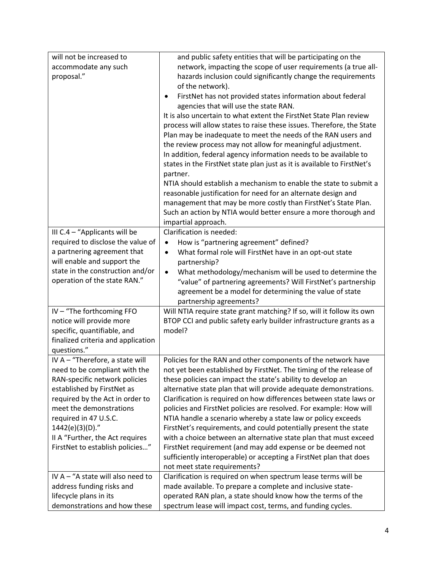| will not be increased to                       | and public safety entities that will be participating on the            |
|------------------------------------------------|-------------------------------------------------------------------------|
| accommodate any such                           | network, impacting the scope of user requirements (a true all-          |
| proposal."                                     | hazards inclusion could significantly change the requirements           |
|                                                | of the network).                                                        |
|                                                | FirstNet has not provided states information about federal<br>٠         |
|                                                | agencies that will use the state RAN.                                   |
|                                                | It is also uncertain to what extent the FirstNet State Plan review      |
|                                                | process will allow states to raise these issues. Therefore, the State   |
|                                                | Plan may be inadequate to meet the needs of the RAN users and           |
|                                                | the review process may not allow for meaningful adjustment.             |
|                                                | In addition, federal agency information needs to be available to        |
|                                                | states in the FirstNet state plan just as it is available to FirstNet's |
|                                                | partner.                                                                |
|                                                | NTIA should establish a mechanism to enable the state to submit a       |
|                                                | reasonable justification for need for an alternate design and           |
|                                                | management that may be more costly than FirstNet's State Plan.          |
|                                                | Such an action by NTIA would better ensure a more thorough and          |
|                                                | impartial approach.                                                     |
| III C.4 - "Applicants will be                  | Clarification is needed:                                                |
| required to disclose the value of              | How is "partnering agreement" defined?<br>$\bullet$                     |
| a partnering agreement that                    | What formal role will FirstNet have in an opt-out state<br>$\bullet$    |
| will enable and support the                    | partnership?                                                            |
| state in the construction and/or               | What methodology/mechanism will be used to determine the<br>$\bullet$   |
| operation of the state RAN."                   | "value" of partnering agreements? Will FirstNet's partnership           |
|                                                | agreement be a model for determining the value of state                 |
|                                                | partnership agreements?                                                 |
| IV - "The forthcoming FFO                      | Will NTIA require state grant matching? If so, will it follow its own   |
| notice will provide more                       | BTOP CCI and public safety early builder infrastructure grants as a     |
| specific, quantifiable, and                    | model?                                                                  |
| finalized criteria and application             |                                                                         |
| questions."<br>IV A - "Therefore, a state will | Policies for the RAN and other components of the network have           |
| need to be compliant with the                  | not yet been established by FirstNet. The timing of the release of      |
| RAN-specific network policies                  | these policies can impact the state's ability to develop an             |
| established by FirstNet as                     | alternative state plan that will provide adequate demonstrations.       |
| required by the Act in order to                | Clarification is required on how differences between state laws or      |
| meet the demonstrations                        | policies and FirstNet policies are resolved. For example: How will      |
| required in 47 U.S.C.                          | NTIA handle a scenario whereby a state law or policy exceeds            |
| 1442(e)(3)(D)."                                | FirstNet's requirements, and could potentially present the state        |
| II A "Further, the Act requires                | with a choice between an alternative state plan that must exceed        |
| FirstNet to establish policies"                | FirstNet requirement (and may add expense or be deemed not              |
|                                                | sufficiently interoperable) or accepting a FirstNet plan that does      |
|                                                | not meet state requirements?                                            |
| IV A - "A state will also need to              | Clarification is required on when spectrum lease terms will be          |
| address funding risks and                      | made available. To prepare a complete and inclusive state-              |
| lifecycle plans in its                         | operated RAN plan, a state should know how the terms of the             |
| demonstrations and how these                   | spectrum lease will impact cost, terms, and funding cycles.             |